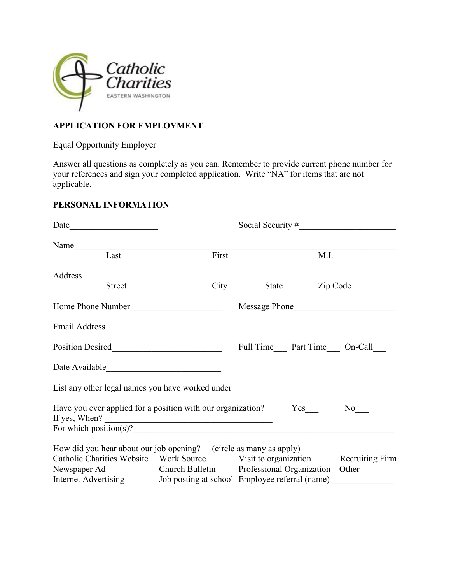

## **APPLICATION FOR EMPLOYMENT**

Equal Opportunity Employer

Answer all questions as completely as you can. Remember to provide current phone number for your references and sign your completed application. Write "NA" for items that are not applicable.

# **PERSONAL INFORMATION**

|                                                                                  |                                                 |      |                | Social Security #                           |
|----------------------------------------------------------------------------------|-------------------------------------------------|------|----------------|---------------------------------------------|
| Name                                                                             |                                                 |      |                |                                             |
| Last                                                                             | First                                           |      | M.I.           |                                             |
|                                                                                  |                                                 |      |                |                                             |
| Address<br>Street                                                                |                                                 | City | State Zip Code |                                             |
| Home Phone Number                                                                |                                                 |      |                |                                             |
|                                                                                  |                                                 |      |                |                                             |
|                                                                                  |                                                 |      |                | Full Time______ Part Time______ On-Call____ |
|                                                                                  |                                                 |      |                |                                             |
| List any other legal names you have worked under _______________________________ |                                                 |      |                |                                             |
| If yes, When? $\qquad \qquad$                                                    |                                                 |      |                |                                             |
| For which position(s)?                                                           |                                                 |      |                |                                             |
| How did you hear about our job opening? (circle as many as apply)                |                                                 |      |                |                                             |
| Catholic Charities Website Work Source Visit to organization Recruiting Firm     |                                                 |      |                |                                             |
| Newspaper Ad                                                                     | Church Bulletin Professional Organization Other |      |                |                                             |
| Internet Advertising Job posting at school Employee referral (name) ____________ |                                                 |      |                |                                             |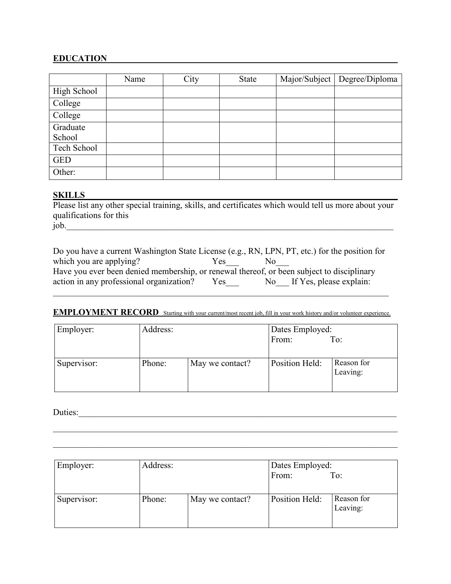### **EDUCATION**

|             | Name | City | <b>State</b> | Major/Subject   Degree/Diploma |
|-------------|------|------|--------------|--------------------------------|
| High School |      |      |              |                                |
| College     |      |      |              |                                |
| College     |      |      |              |                                |
| Graduate    |      |      |              |                                |
| School      |      |      |              |                                |
| Tech School |      |      |              |                                |
| <b>GED</b>  |      |      |              |                                |
| Other:      |      |      |              |                                |

### **SKILLS**

SKILLS<br>Please list any other special training, skills, and certificates which would tell us more about your qualifications for this  $job.$ 

| Do you have a current Washington State License (e.g., RN, LPN, PT, etc.) for the position for |      |                            |
|-----------------------------------------------------------------------------------------------|------|----------------------------|
| which you are applying?                                                                       | Yes. |                            |
| Have you ever been denied membership, or renewal thereof, or been subject to disciplinary     |      |                            |
| action in any professional organization?                                                      | Yes  | No If Yes, please explain: |

#### **EMPLOYMENT RECORD** Starting with your current/most recent job, fill in your work history and/or volunteer experience.

| Employer:   | Address: |                 | Dates Employed:<br>From: | To:                    |
|-------------|----------|-----------------|--------------------------|------------------------|
| Supervisor: | Phone:   | May we contact? | Position Held:           | Reason for<br>Leaving: |

Duties:\_\_\_\_\_\_\_\_\_\_\_\_\_\_\_\_\_\_\_\_\_\_\_\_\_\_\_\_\_\_\_\_\_\_\_\_\_\_\_\_\_\_\_\_\_\_\_\_\_\_\_\_\_\_\_\_\_\_\_\_\_\_\_\_\_\_\_\_\_\_\_\_

| Employer:   | Address: |                 | Dates Employed:<br>From: | To:                    |
|-------------|----------|-----------------|--------------------------|------------------------|
| Supervisor: | Phone:   | May we contact? | Position Held:           | Reason for<br>Leaving: |

\_\_\_\_\_\_\_\_\_\_\_\_\_\_\_\_\_\_\_\_\_\_\_\_\_\_\_\_\_\_\_\_\_\_\_\_\_\_\_\_\_\_\_\_\_\_\_\_\_\_\_\_\_\_\_\_\_\_\_\_\_\_\_\_\_\_\_\_\_\_\_\_\_\_\_\_\_\_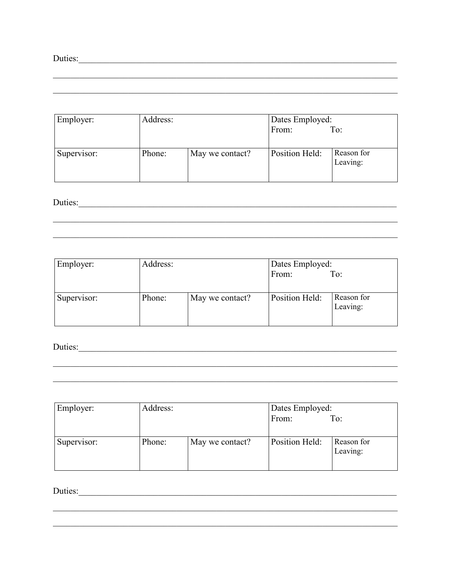| Employer:   | Address: |                 | Dates Employed: |                        |
|-------------|----------|-----------------|-----------------|------------------------|
|             |          |                 | From:           | To:                    |
| Supervisor: | Phone:   | May we contact? | Position Held:  | Reason for<br>Leaving: |

Duties:

| Employer:   | Address: |                 | Dates Employed:<br>From: | To:                    |
|-------------|----------|-----------------|--------------------------|------------------------|
| Supervisor: | Phone:   | May we contact? | Position Held:           | Reason for<br>Leaving: |

<u> 1989 - 1989 - 1989 - 1989 - 1989 - 1989 - 1989 - 1989 - 1989 - 1989 - 1989 - 1989 - 1989 - 1989 - 1989 - 19</u>

Duties:

| Employer:   | Address: |                 | Dates Employed: |                        |
|-------------|----------|-----------------|-----------------|------------------------|
|             |          |                 | From:           | To:                    |
|             |          |                 |                 |                        |
| Supervisor: | Phone:   | May we contact? | Position Held:  | Reason for<br>Leaving: |

<u> 1989 - Johann Stoff, amerikansk politiker (d. 1989)</u>